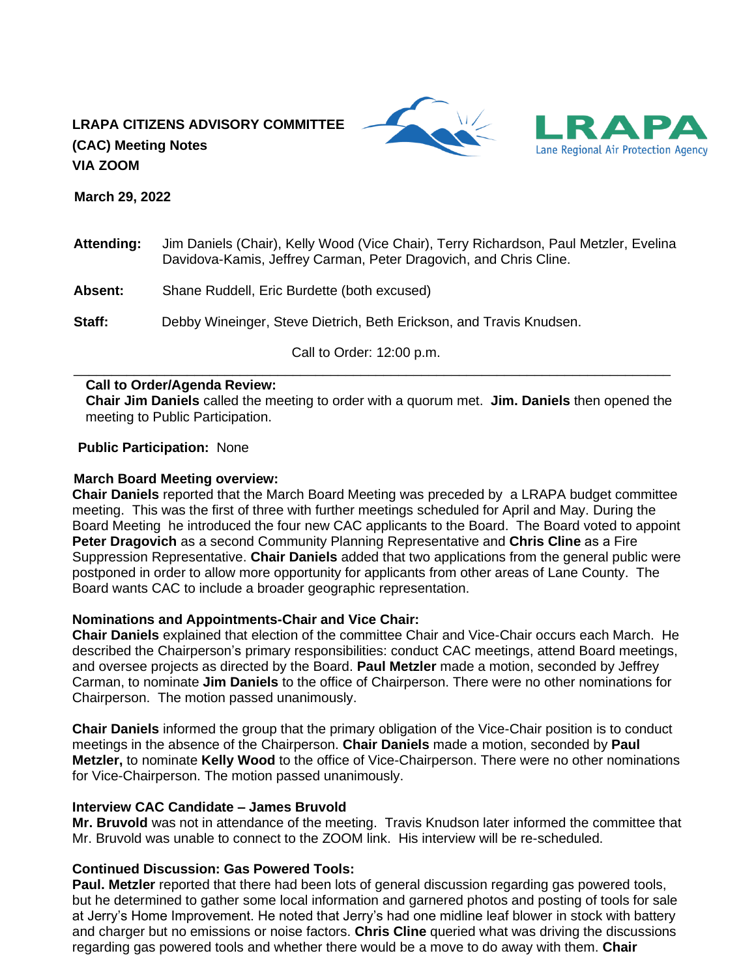# **LRAPA CITIZENS ADVISORY COMMITTEE (CAC) Meeting Notes VIA ZOOM**





 **March 29, 2022**

- **Attending:** Jim Daniels (Chair), Kelly Wood (Vice Chair), Terry Richardson, Paul Metzler, Evelina Davidova-Kamis, Jeffrey Carman, Peter Dragovich, and Chris Cline.
- **Absent:** Shane Ruddell, Eric Burdette (both excused)

**Staff:** Debby Wineinger, Steve Dietrich, Beth Erickson, and Travis Knudsen.

Call to Order: 12:00 p.m. \_\_\_\_\_\_\_\_\_\_\_\_\_\_\_\_\_\_\_\_\_\_\_\_\_\_\_\_\_\_\_\_\_\_\_\_\_\_\_\_\_\_\_\_\_\_\_\_\_\_\_\_\_\_\_\_\_\_\_\_\_\_\_\_\_\_\_\_\_\_\_\_\_\_\_\_\_\_\_

#### **Call to Order/Agenda Review:**

**Chair Jim Daniels** called the meeting to order with a quorum met. **Jim. Daniels** then opened the meeting to Public Participation.

**Public Participation:** None

#### **March Board Meeting overview:**

**Chair Daniels** reported that the March Board Meeting was preceded by a LRAPA budget committee meeting. This was the first of three with further meetings scheduled for April and May. During the Board Meeting he introduced the four new CAC applicants to the Board. The Board voted to appoint **Peter Dragovich** as a second Community Planning Representative and **Chris Cline** as a Fire Suppression Representative. **Chair Daniels** added that two applications from the general public were postponed in order to allow more opportunity for applicants from other areas of Lane County. The Board wants CAC to include a broader geographic representation.

### **Nominations and Appointments-Chair and Vice Chair:**

**Chair Daniels** explained that election of the committee Chair and Vice-Chair occurs each March. He described the Chairperson's primary responsibilities: conduct CAC meetings, attend Board meetings, and oversee projects as directed by the Board. **Paul Metzler** made a motion, seconded by Jeffrey Carman, to nominate **Jim Daniels** to the office of Chairperson. There were no other nominations for Chairperson. The motion passed unanimously.

**Chair Daniels** informed the group that the primary obligation of the Vice-Chair position is to conduct meetings in the absence of the Chairperson. **Chair Daniels** made a motion, seconded by **Paul Metzler,** to nominate **Kelly Wood** to the office of Vice-Chairperson. There were no other nominations for Vice-Chairperson. The motion passed unanimously.

### **Interview CAC Candidate – James Bruvold**

**Mr. Bruvold** was not in attendance of the meeting. Travis Knudson later informed the committee that Mr. Bruvold was unable to connect to the ZOOM link. His interview will be re-scheduled.

## **Continued Discussion: Gas Powered Tools:**

**Paul. Metzler** reported that there had been lots of general discussion regarding gas powered tools, but he determined to gather some local information and garnered photos and posting of tools for sale at Jerry's Home Improvement. He noted that Jerry's had one midline leaf blower in stock with battery and charger but no emissions or noise factors. **Chris Cline** queried what was driving the discussions regarding gas powered tools and whether there would be a move to do away with them. **Chair**